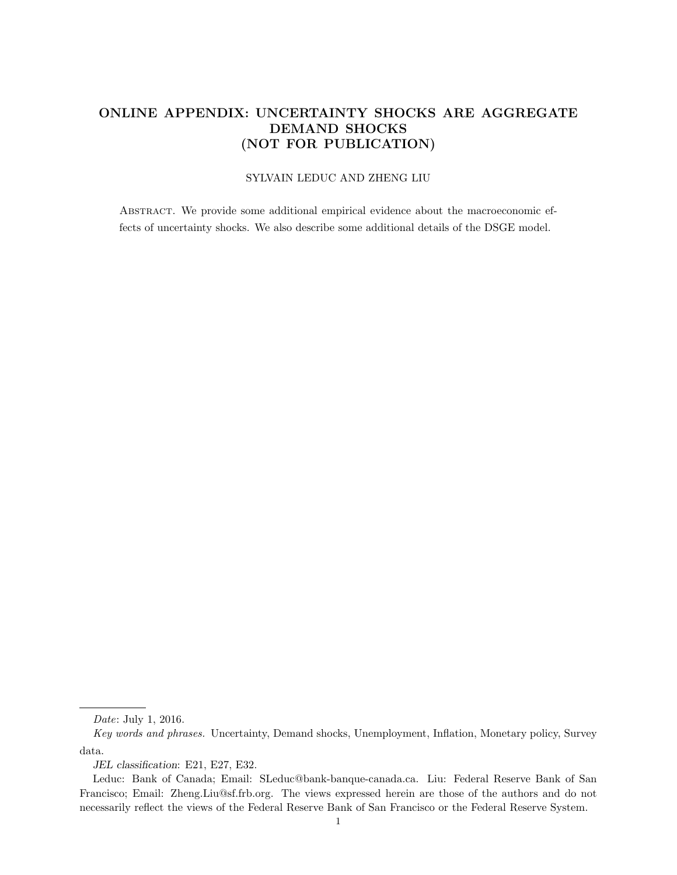## ONLINE APPENDIX: UNCERTAINTY SHOCKS ARE AGGREGATE DEMAND SHOCKS (NOT FOR PUBLICATION)

### SYLVAIN LEDUC AND ZHENG LIU

Abstract. We provide some additional empirical evidence about the macroeconomic effects of uncertainty shocks. We also describe some additional details of the DSGE model.

Date: July 1, 2016.

Key words and phrases. Uncertainty, Demand shocks, Unemployment, Inflation, Monetary policy, Survey data.

JEL classification: E21, E27, E32.

Leduc: Bank of Canada; Email: SLeduc@bank-banque-canada.ca. Liu: Federal Reserve Bank of San Francisco; Email: Zheng.Liu@sf.frb.org. The views expressed herein are those of the authors and do not necessarily reflect the views of the Federal Reserve Bank of San Francisco or the Federal Reserve System.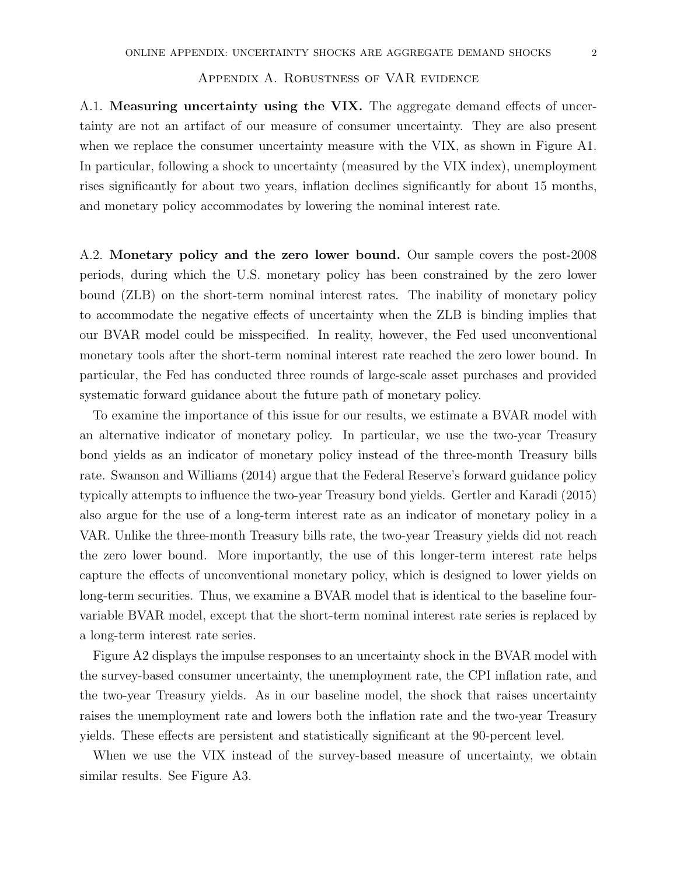### Appendix A. Robustness of VAR evidence

A.1. Measuring uncertainty using the VIX. The aggregate demand effects of uncertainty are not an artifact of our measure of consumer uncertainty. They are also present when we replace the consumer uncertainty measure with the VIX, as shown in Figure A1. In particular, following a shock to uncertainty (measured by the VIX index), unemployment rises significantly for about two years, inflation declines significantly for about 15 months, and monetary policy accommodates by lowering the nominal interest rate.

A.2. Monetary policy and the zero lower bound. Our sample covers the post-2008 periods, during which the U.S. monetary policy has been constrained by the zero lower bound (ZLB) on the short-term nominal interest rates. The inability of monetary policy to accommodate the negative effects of uncertainty when the ZLB is binding implies that our BVAR model could be misspecified. In reality, however, the Fed used unconventional monetary tools after the short-term nominal interest rate reached the zero lower bound. In particular, the Fed has conducted three rounds of large-scale asset purchases and provided systematic forward guidance about the future path of monetary policy.

To examine the importance of this issue for our results, we estimate a BVAR model with an alternative indicator of monetary policy. In particular, we use the two-year Treasury bond yields as an indicator of monetary policy instead of the three-month Treasury bills rate. Swanson and Williams (2014) argue that the Federal Reserve's forward guidance policy typically attempts to influence the two-year Treasury bond yields. Gertler and Karadi (2015) also argue for the use of a long-term interest rate as an indicator of monetary policy in a VAR. Unlike the three-month Treasury bills rate, the two-year Treasury yields did not reach the zero lower bound. More importantly, the use of this longer-term interest rate helps capture the effects of unconventional monetary policy, which is designed to lower yields on long-term securities. Thus, we examine a BVAR model that is identical to the baseline fourvariable BVAR model, except that the short-term nominal interest rate series is replaced by a long-term interest rate series.

Figure A2 displays the impulse responses to an uncertainty shock in the BVAR model with the survey-based consumer uncertainty, the unemployment rate, the CPI inflation rate, and the two-year Treasury yields. As in our baseline model, the shock that raises uncertainty raises the unemployment rate and lowers both the inflation rate and the two-year Treasury yields. These effects are persistent and statistically significant at the 90-percent level.

When we use the VIX instead of the survey-based measure of uncertainty, we obtain similar results. See Figure A3.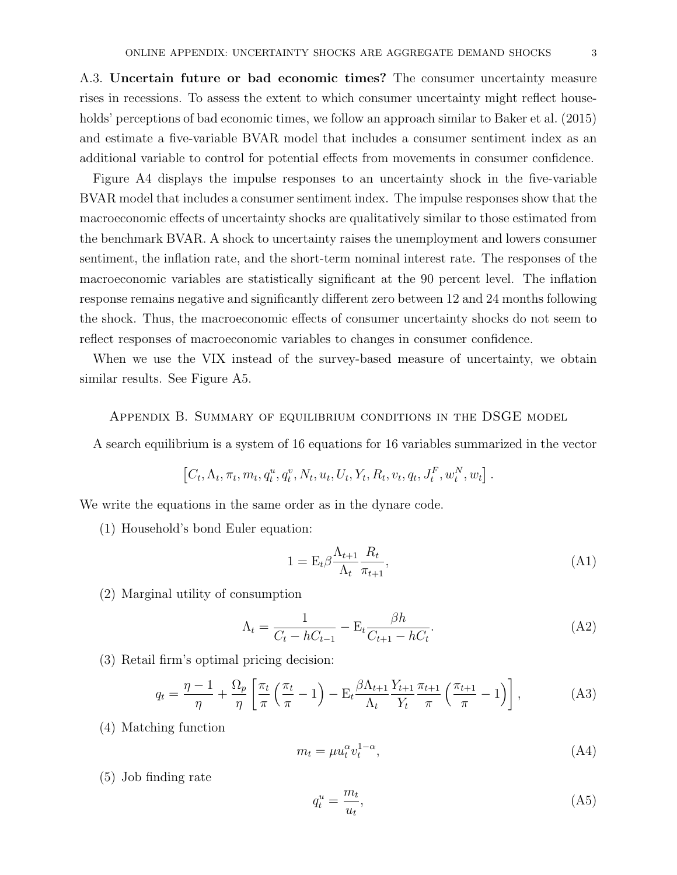A.3. Uncertain future or bad economic times? The consumer uncertainty measure rises in recessions. To assess the extent to which consumer uncertainty might reflect households' perceptions of bad economic times, we follow an approach similar to Baker et al. (2015) and estimate a five-variable BVAR model that includes a consumer sentiment index as an additional variable to control for potential effects from movements in consumer confidence.

Figure A4 displays the impulse responses to an uncertainty shock in the five-variable BVAR model that includes a consumer sentiment index. The impulse responses show that the macroeconomic effects of uncertainty shocks are qualitatively similar to those estimated from the benchmark BVAR. A shock to uncertainty raises the unemployment and lowers consumer sentiment, the inflation rate, and the short-term nominal interest rate. The responses of the macroeconomic variables are statistically significant at the 90 percent level. The inflation response remains negative and significantly different zero between 12 and 24 months following the shock. Thus, the macroeconomic effects of consumer uncertainty shocks do not seem to reflect responses of macroeconomic variables to changes in consumer confidence.

When we use the VIX instead of the survey-based measure of uncertainty, we obtain similar results. See Figure A5.

Appendix B. Summary of equilibrium conditions in the DSGE model

A search equilibrium is a system of 16 equations for 16 variables summarized in the vector

$$
\left[C_t, \Lambda_t, \pi_t, m_t, q_t^u, q_t^v, N_t, u_t, U_t, Y_t, R_t, v_t, q_t, J_t^F, w_t^N, w_t\right].
$$

We write the equations in the same order as in the dynare code.

(1) Household's bond Euler equation:

$$
1 = \mathcal{E}_t \beta \frac{\Lambda_{t+1}}{\Lambda_t} \frac{R_t}{\pi_{t+1}},\tag{A1}
$$

(2) Marginal utility of consumption

$$
\Lambda_t = \frac{1}{C_t - hC_{t-1}} - \mathcal{E}_t \frac{\beta h}{C_{t+1} - hC_t}.\tag{A2}
$$

(3) Retail firm's optimal pricing decision:

$$
q_t = \frac{\eta - 1}{\eta} + \frac{\Omega_p}{\eta} \left[ \frac{\pi_t}{\pi} \left( \frac{\pi_t}{\pi} - 1 \right) - \mathcal{E}_t \frac{\beta \Lambda_{t+1}}{\Lambda_t} \frac{Y_{t+1}}{Y_t} \frac{\pi_{t+1}}{\pi} \left( \frac{\pi_{t+1}}{\pi} - 1 \right) \right],\tag{A3}
$$

(4) Matching function

$$
m_t = \mu u_t^{\alpha} v_t^{1-\alpha},\tag{A4}
$$

(5) Job finding rate

$$
q_t^u = \frac{m_t}{u_t},\tag{A5}
$$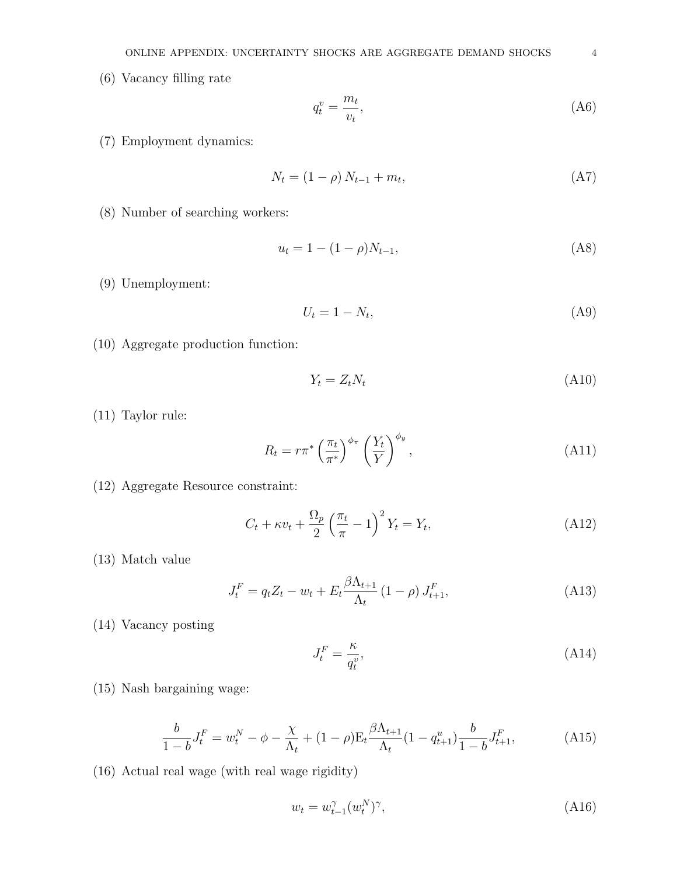(6) Vacancy filling rate

$$
q_t^v = \frac{m_t}{v_t},\tag{A6}
$$

(7) Employment dynamics:

$$
N_t = (1 - \rho) N_{t-1} + m_t, \tag{A7}
$$

(8) Number of searching workers:

$$
u_t = 1 - (1 - \rho)N_{t-1},\tag{A8}
$$

(9) Unemployment:

$$
U_t = 1 - N_t,\tag{A9}
$$

(10) Aggregate production function:

$$
Y_t = Z_t N_t \tag{A10}
$$

(11) Taylor rule:

$$
R_t = r\pi^* \left(\frac{\pi_t}{\pi^*}\right)^{\phi_\pi} \left(\frac{Y_t}{Y}\right)^{\phi_y},\tag{A11}
$$

(12) Aggregate Resource constraint:

$$
C_t + \kappa v_t + \frac{\Omega_p}{2} \left(\frac{\pi_t}{\pi} - 1\right)^2 Y_t = Y_t,
$$
\n(A12)

(13) Match value

$$
J_t^F = q_t Z_t - w_t + E_t \frac{\beta \Lambda_{t+1}}{\Lambda_t} (1 - \rho) J_{t+1}^F,
$$
\n(A13)

(14) Vacancy posting

$$
J_t^F = \frac{\kappa}{q_t^v},\tag{A14}
$$

(15) Nash bargaining wage:

$$
\frac{b}{1-b}J_t^F = w_t^N - \phi - \frac{\chi}{\Lambda_t} + (1-\rho)E_t \frac{\beta \Lambda_{t+1}}{\Lambda_t} (1 - q_{t+1}^u) \frac{b}{1-b} J_{t+1}^F,
$$
\n(A15)

(16) Actual real wage (with real wage rigidity)

$$
w_t = w_{t-1}^{\gamma}(w_t^N)^{\gamma},\tag{A16}
$$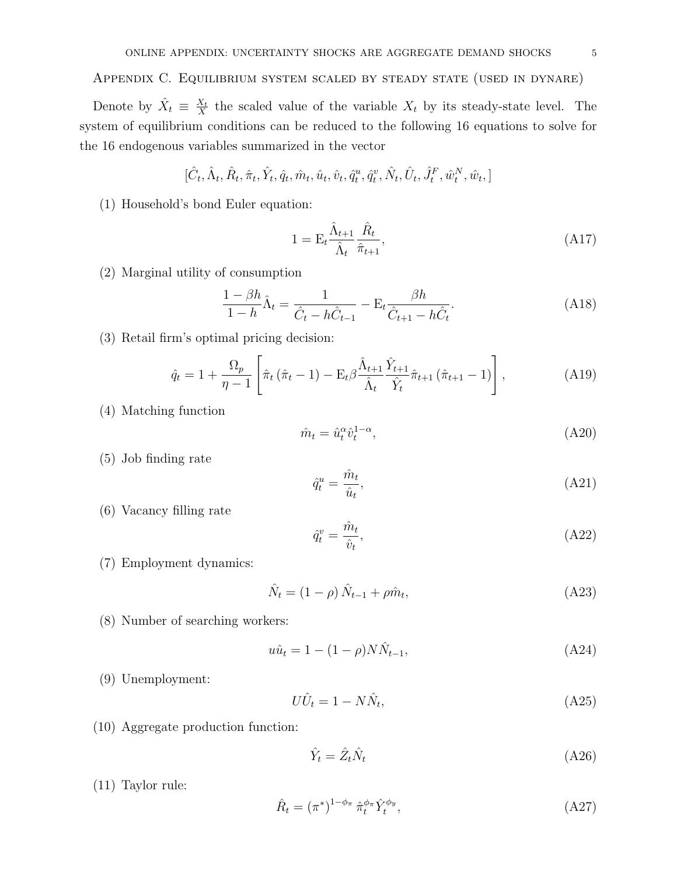## Appendix C. Equilibrium system scaled by steady state (used in dynare)

Denote by  $\hat{X}_t \equiv \frac{X_t}{X}$  $\frac{X_t}{X}$  the scaled value of the variable  $X_t$  by its steady-state level. The system of equilibrium conditions can be reduced to the following 16 equations to solve for the 16 endogenous variables summarized in the vector

$$
[\hat{C}_t, \hat{\Lambda}_t, \hat{R}_t, \hat{\pi}_t, \hat{Y}_t, \hat{q}_t, \hat{m}_t, \hat{u}_t, \hat{v}_t, \hat{q}_t^u, \hat{q}_t^v, \hat{N}_t, \hat{U}_t, \hat{J}_t^F, \hat{w}_t^N, \hat{w}_t, ]
$$

(1) Household's bond Euler equation:

$$
1 = \mathcal{E}_t \frac{\hat{\Lambda}_{t+1}}{\hat{\Lambda}_t} \frac{\hat{R}_t}{\hat{\pi}_{t+1}},\tag{A17}
$$

(2) Marginal utility of consumption

$$
\frac{1 - \beta h}{1 - h} \hat{\Lambda}_t = \frac{1}{\hat{C}_t - h\hat{C}_{t-1}} - \mathcal{E}_t \frac{\beta h}{\hat{C}_{t+1} - h\hat{C}_t}.
$$
 (A18)

(3) Retail firm's optimal pricing decision:

$$
\hat{q}_t = 1 + \frac{\Omega_p}{\eta - 1} \left[ \hat{\pi}_t \left( \hat{\pi}_t - 1 \right) - \mathcal{E}_t \beta \frac{\hat{\Lambda}_{t+1}}{\hat{\Lambda}_t} \frac{\hat{Y}_{t+1}}{\hat{Y}_t} \hat{\pi}_{t+1} \left( \hat{\pi}_{t+1} - 1 \right) \right], \tag{A19}
$$

(4) Matching function

$$
\hat{m}_t = \hat{u}_t^{\alpha} \hat{v}_t^{1-\alpha},\tag{A20}
$$

(5) Job finding rate

$$
\hat{q}_t^u = \frac{\hat{m}_t}{\hat{u}_t},\tag{A21}
$$

(6) Vacancy filling rate

$$
\hat{q}_t^v = \frac{\hat{m}_t}{\hat{v}_t},\tag{A22}
$$

(7) Employment dynamics:

$$
\hat{N}_t = (1 - \rho) \hat{N}_{t-1} + \rho \hat{m}_t,\tag{A23}
$$

(8) Number of searching workers:

$$
u\hat{u}_t = 1 - (1 - \rho)N\hat{N}_{t-1},
$$
\n(A24)

(9) Unemployment:

$$
U\hat{U}_t = 1 - N\hat{N}_t,\tag{A25}
$$

(10) Aggregate production function:

$$
\hat{Y}_t = \hat{Z}_t \hat{N}_t \tag{A26}
$$

(11) Taylor rule:

$$
\hat{R}_t = (\pi^*)^{1-\phi_\pi} \hat{\pi}_t^{\phi_\pi} \hat{Y}_t^{\phi_y},\tag{A27}
$$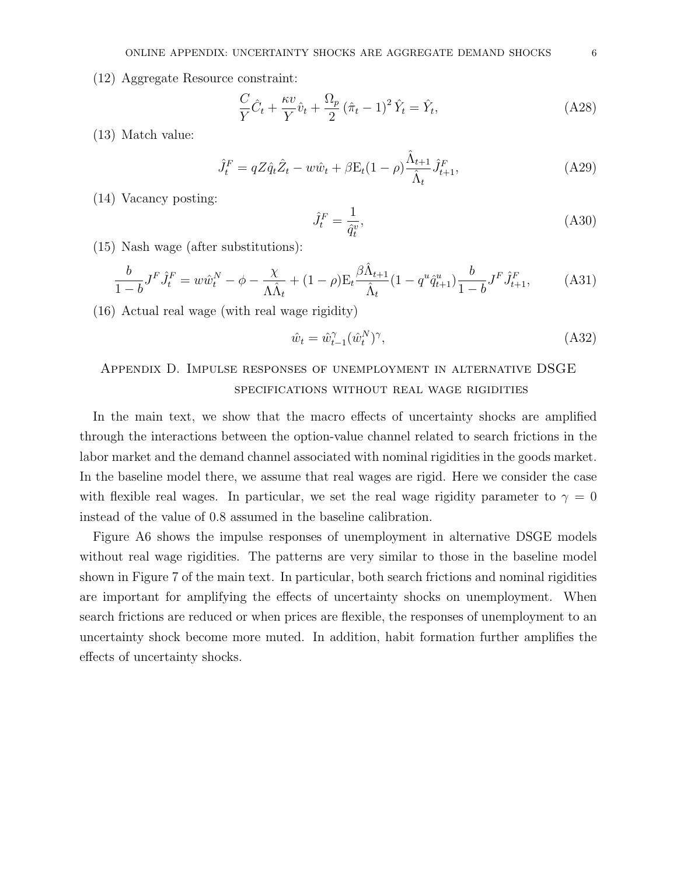(12) Aggregate Resource constraint:

$$
\frac{C}{Y}\hat{C}_t + \frac{\kappa v}{Y}\hat{v}_t + \frac{\Omega_p}{2}(\hat{\pi}_t - 1)^2 \hat{Y}_t = \hat{Y}_t,
$$
\n(A28)

(13) Match value:

$$
\hat{J}_t^F = qZ\hat{q}_t\hat{Z}_t - w\hat{w}_t + \beta E_t(1-\rho)\frac{\hat{\Lambda}_{t+1}}{\hat{\Lambda}_t}\hat{J}_{t+1}^F,
$$
\n(A29)

(14) Vacancy posting:

$$
\hat{J}_t^F = \frac{1}{\hat{q}_t^v},\tag{A30}
$$

(15) Nash wage (after substitutions):

$$
\frac{b}{1-b}J^F\hat{J}_t^F = w\hat{w}_t^N - \phi - \frac{\chi}{\Lambda \hat{\Lambda}_t} + (1-\rho)E_t \frac{\beta \hat{\Lambda}_{t+1}}{\hat{\Lambda}_t} (1 - q^u \hat{q}_{t+1}^u) \frac{b}{1-b} J^F \hat{J}_{t+1}^F, \tag{A31}
$$

(16) Actual real wage (with real wage rigidity)

$$
\hat{w}_t = \hat{w}_{t-1}^{\gamma}(\hat{w}_t^N)^{\gamma},\tag{A32}
$$

# Appendix D. Impulse responses of unemployment in alternative DSGE specifications without real wage rigidities

In the main text, we show that the macro effects of uncertainty shocks are amplified through the interactions between the option-value channel related to search frictions in the labor market and the demand channel associated with nominal rigidities in the goods market. In the baseline model there, we assume that real wages are rigid. Here we consider the case with flexible real wages. In particular, we set the real wage rigidity parameter to  $\gamma = 0$ instead of the value of 0.8 assumed in the baseline calibration.

Figure A6 shows the impulse responses of unemployment in alternative DSGE models without real wage rigidities. The patterns are very similar to those in the baseline model shown in Figure 7 of the main text. In particular, both search frictions and nominal rigidities are important for amplifying the effects of uncertainty shocks on unemployment. When search frictions are reduced or when prices are flexible, the responses of unemployment to an uncertainty shock become more muted. In addition, habit formation further amplifies the effects of uncertainty shocks.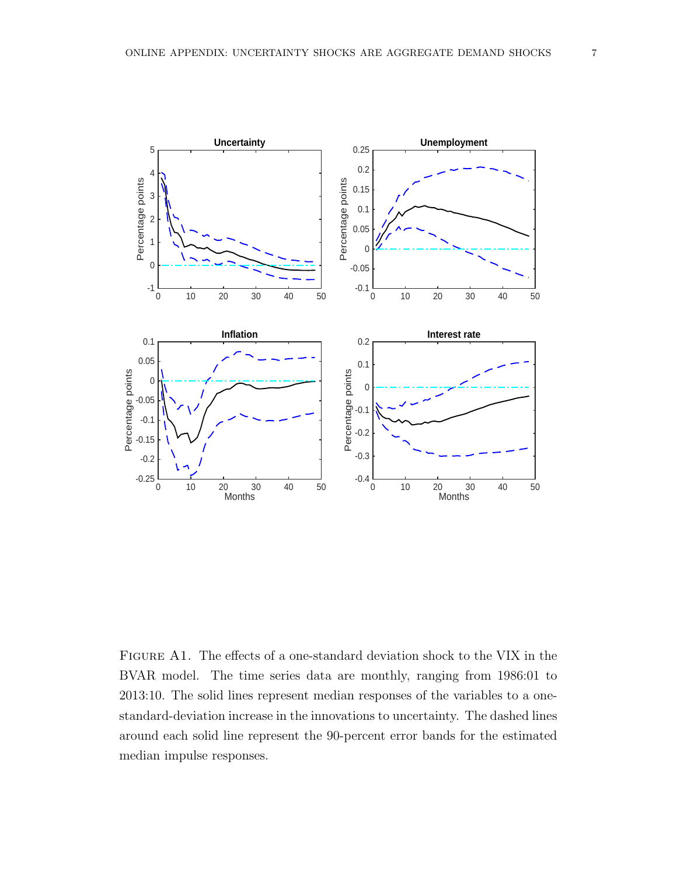

Figure A1. The effects of a one-standard deviation shock to the VIX in the BVAR model. The time series data are monthly, ranging from 1986:01 to 2013:10. The solid lines represent median responses of the variables to a onestandard-deviation increase in the innovations to uncertainty. The dashed lines around each solid line represent the 90-percent error bands for the estimated median impulse responses.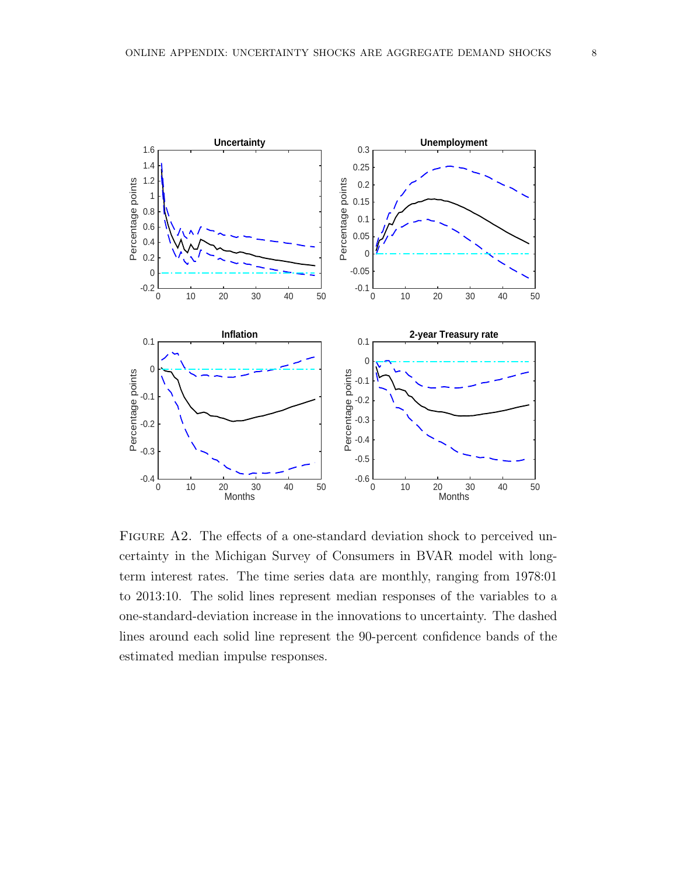

FIGURE A2. The effects of a one-standard deviation shock to perceived uncertainty in the Michigan Survey of Consumers in BVAR model with longterm interest rates. The time series data are monthly, ranging from 1978:01 to 2013:10. The solid lines represent median responses of the variables to a one-standard-deviation increase in the innovations to uncertainty. The dashed lines around each solid line represent the 90-percent confidence bands of the estimated median impulse responses.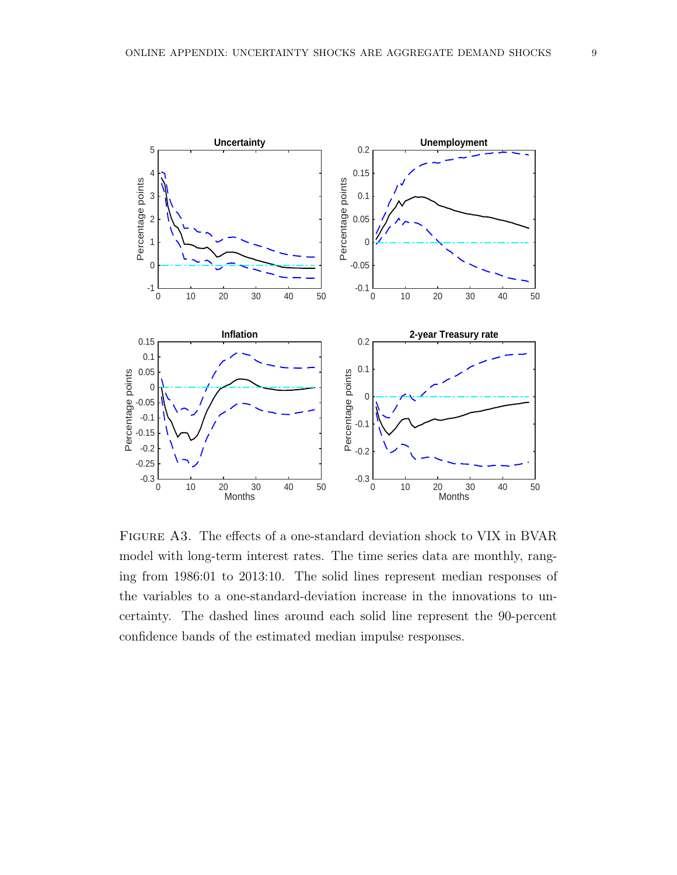

Figure A3. The effects of a one-standard deviation shock to VIX in BVAR model with long-term interest rates. The time series data are monthly, ranging from 1986:01 to 2013:10. The solid lines represent median responses of the variables to a one-standard-deviation increase in the innovations to uncertainty. The dashed lines around each solid line represent the 90-percent confidence bands of the estimated median impulse responses.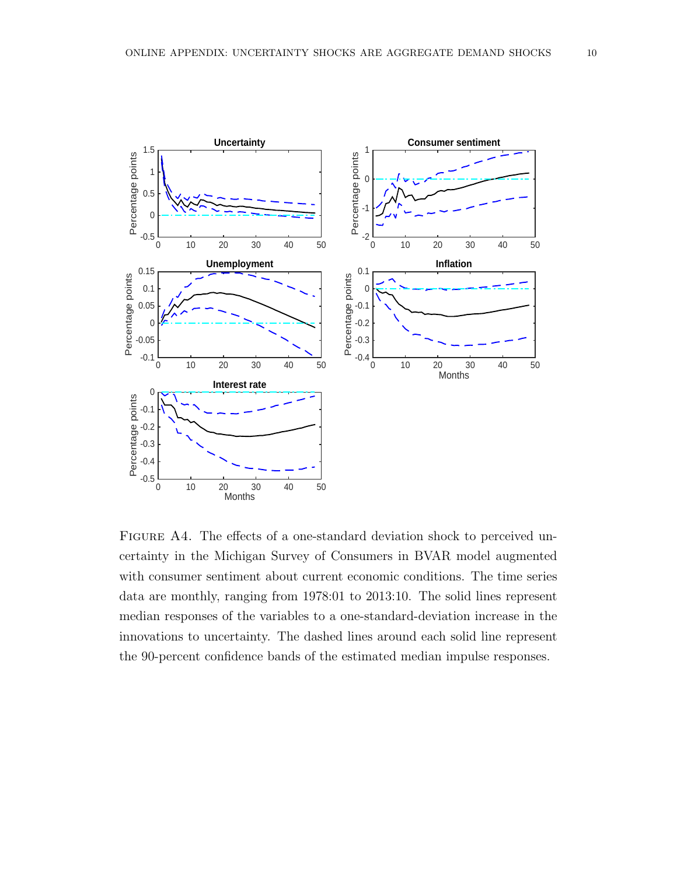

FIGURE A4. The effects of a one-standard deviation shock to perceived uncertainty in the Michigan Survey of Consumers in BVAR model augmented with consumer sentiment about current economic conditions. The time series data are monthly, ranging from 1978:01 to 2013:10. The solid lines represent median responses of the variables to a one-standard-deviation increase in the innovations to uncertainty. The dashed lines around each solid line represent the 90-percent confidence bands of the estimated median impulse responses.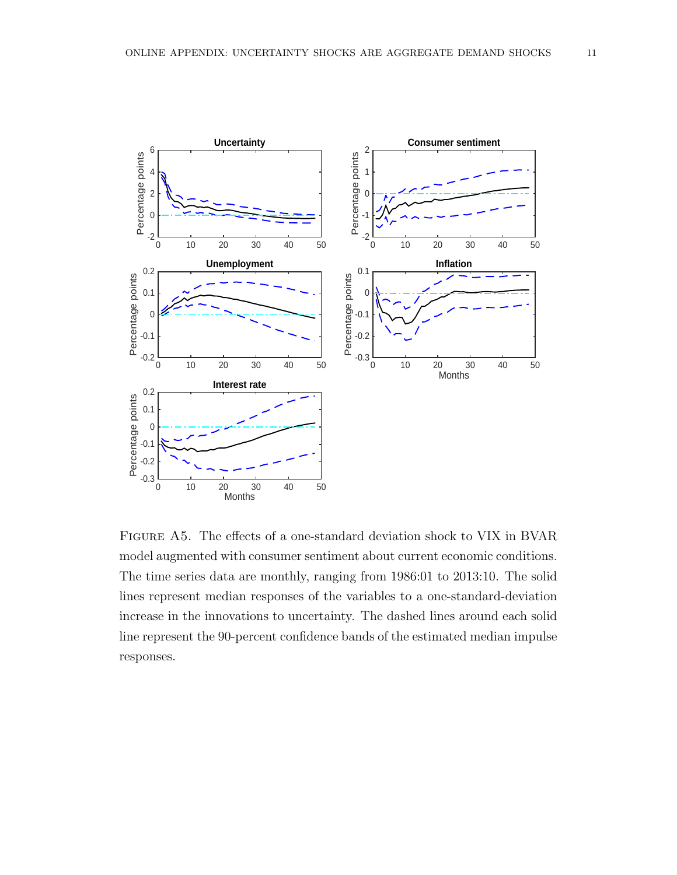

Figure A5. The effects of a one-standard deviation shock to VIX in BVAR model augmented with consumer sentiment about current economic conditions. The time series data are monthly, ranging from 1986:01 to 2013:10. The solid lines represent median responses of the variables to a one-standard-deviation increase in the innovations to uncertainty. The dashed lines around each solid line represent the 90-percent confidence bands of the estimated median impulse responses.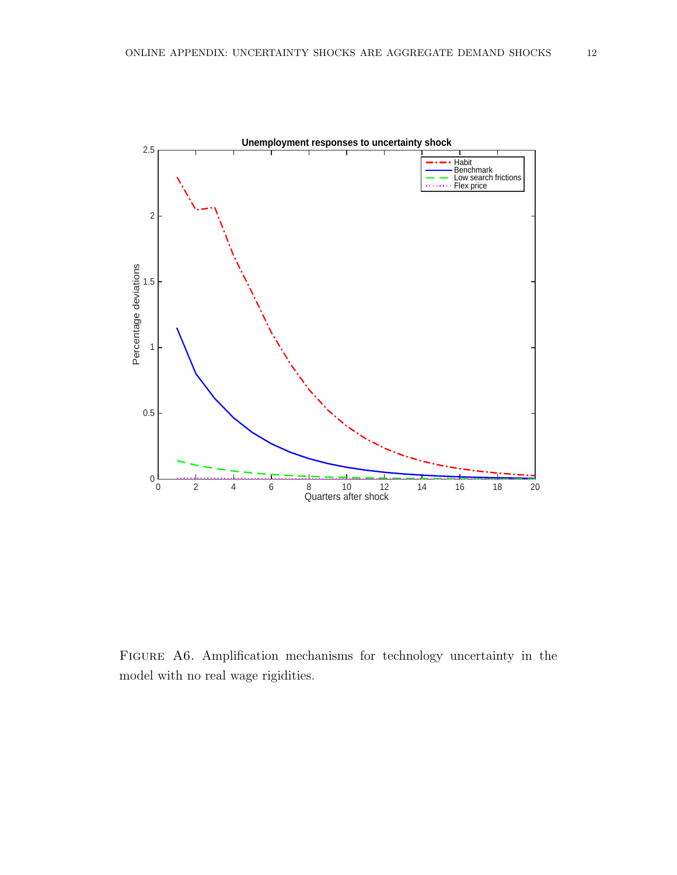

FIGURE A6. Amplification mechanisms for technology uncertainty in the model with no real wage rigidities.